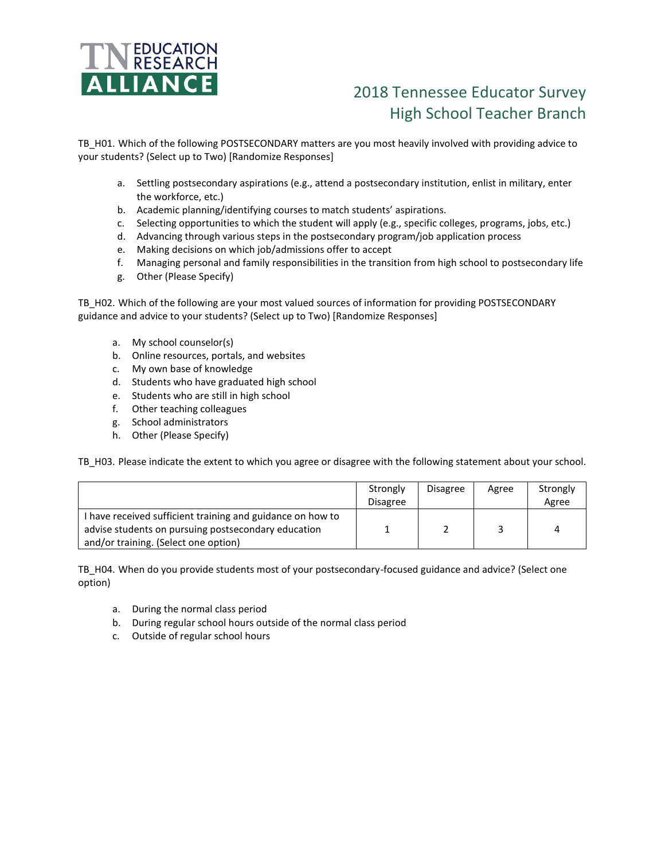

## 2018 Tennessee Educator Survey High School Teacher Branch

TB\_H01. Which of the following POSTSECONDARY matters are you most heavily involved with providing advice to your students? (Select up to Two) [Randomize Responses]

- a. Settling postsecondary aspirations (e.g., attend a postsecondary institution, enlist in military, enter the workforce, etc.)
- b. Academic planning/identifying courses to match students' aspirations.
- c. Selecting opportunities to which the student will apply (e.g., specific colleges, programs, jobs, etc.)
- d. Advancing through various steps in the postsecondary program/job application process
- e. Making decisions on which job/admissions offer to accept
- f. Managing personal and family responsibilities in the transition from high school to postsecondary life
- g. Other (Please Specify)

TB\_H02. Which of the following are your most valued sources of information for providing POSTSECONDARY guidance and advice to your students? (Select up to Two) [Randomize Responses]

- a. My school counselor(s)
- b. Online resources, portals, and websites
- c. My own base of knowledge
- d. Students who have graduated high school
- e. Students who are still in high school
- f. Other teaching colleagues
- g. School administrators
- h. Other (Please Specify)

TB\_H03. Please indicate the extent to which you agree or disagree with the following statement about your school.

|                                                                                                                                                           | Strongly<br><b>Disagree</b> | <b>Disagree</b> | Agree | Strongly<br>Agree |
|-----------------------------------------------------------------------------------------------------------------------------------------------------------|-----------------------------|-----------------|-------|-------------------|
| I have received sufficient training and guidance on how to<br>advise students on pursuing postsecondary education<br>and/or training. (Select one option) |                             |                 |       | 4                 |

TB\_H04. When do you provide students most of your postsecondary-focused guidance and advice? (Select one option)

- a. During the normal class period
- b. During regular school hours outside of the normal class period
- c. Outside of regular school hours